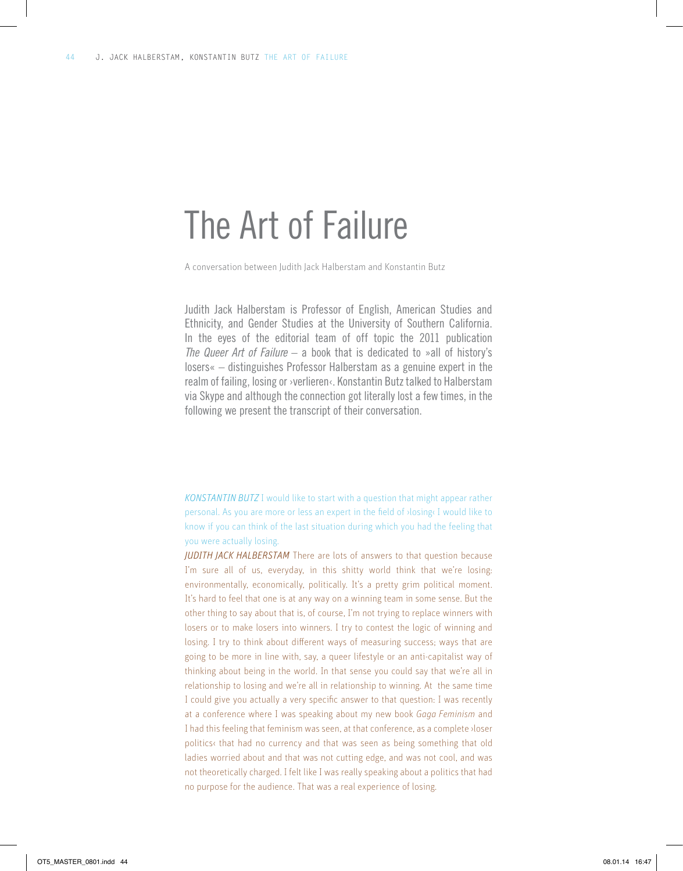# The Art of Failure

A conversation between Judith Jack Halberstam and Konstantin Butz

Judith Jack Halberstam is Professor of English, American Studies and Ethnicity, and Gender Studies at the University of Southern California. In the eyes of the editorial team of off topic the 2011 publication *The Queer Art of Failure* – a book that is dedicated to »all of history's losers« – distinguishes Professor Halberstam as a genuine expert in the realm of failing, losing or ›verlieren‹. Konstantin Butz talked to Halberstam via Skype and although the connection got literally lost a few times, in the following we present the transcript of their conversation.

*Konstantin Butz* I would like to start with a question that might appear rather personal. As you are more or less an expert in the field of ›losing‹ I would like to know if you can think of the last situation during which you had the feeling that you were actually losing.

*Judith Jack Halberstam* There are lots of answers to that question because I'm sure all of us, everyday, in this shitty world think that we're losing: environmentally, economically, politically. It's a pretty grim political moment. It's hard to feel that one is at any way on a winning team in some sense. But the other thing to say about that is, of course, I'm not trying to replace winners with losers or to make losers into winners. I try to contest the logic of winning and losing. I try to think about different ways of measuring success; ways that are going to be more in line with, say, a queer lifestyle or an anti-capitalist way of thinking about being in the world. In that sense you could say that we're all in relationship to losing and we're all in relationship to winning. At the same time I could give you actually a very specific answer to that question: I was recently at a conference where I was speaking about my new book *Gaga Feminism* and I had this feeling that feminism was seen, at that conference, as a complete ›loser politics‹ that had no currency and that was seen as being something that old ladies worried about and that was not cutting edge, and was not cool, and was not theoretically charged. I felt like I was really speaking about a politics that had no purpose for the audience. That was a real experience of losing.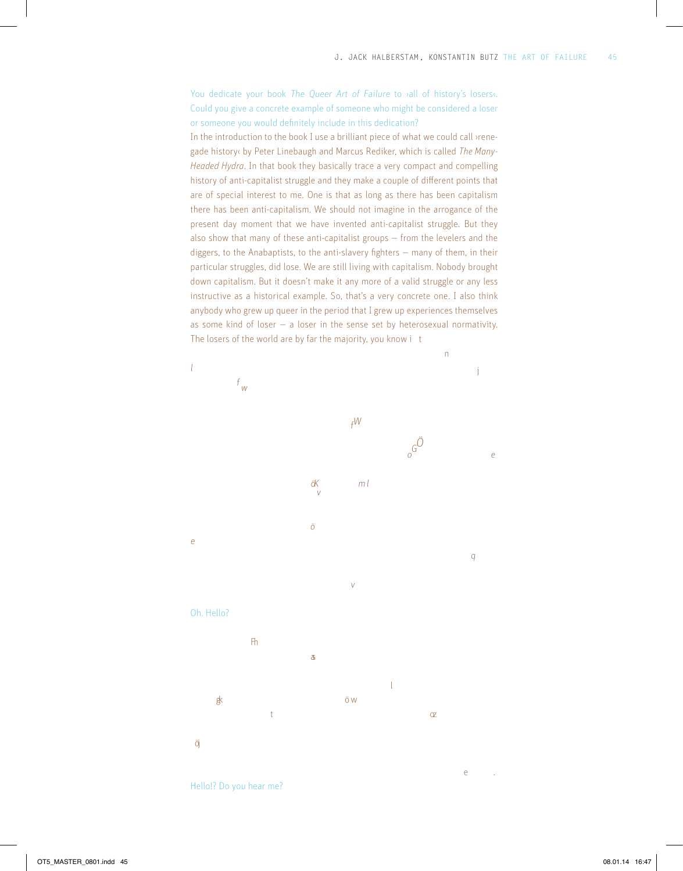You dedicate your book The Queer Art of Failure to <sub>all</sub> of history's losers. Could you give a concrete example of someone who might be considered a loser or someone you would definitely include in this dedication?

In the introduction to the book I use a brilliant piece of what we could call ›renegade history‹ by Peter Linebaugh and Marcus Rediker, which is called *The Many-Headed Hydra*. In that book they basically trace a very compact and compelling history of anti-capitalist struggle and they make a couple of different points that are of special interest to me. One is that as long as there has been capitalism there has been anti-capitalism. We should not imagine in the arrogance of the present day moment that we have invented anti-capitalist struggle. But they also show that many of these anti-capitalist groups — from the levelers and the diggers, to the Anabaptists, to the anti-slavery fighters — many of them, in their particular struggles, did lose. We are still living with capitalism. Nobody brought down capitalism. But it doesn't make it any more of a valid struggle or any less instructive as a historical example. So, that's a very concrete one. I also think anybody who grew up queer in the period that I grew up experiences themselves as some kind of loser — a loser in the sense set by heterosexual normativity. The losers of the world are by far the majority, you know i t



Hello!? Do you hear me?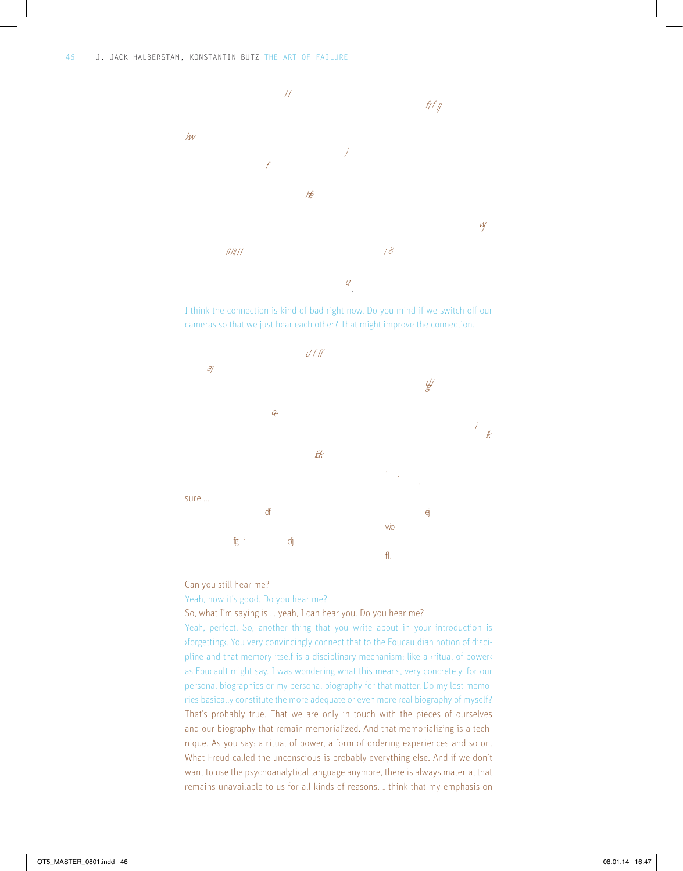

I think the connection is kind of bad right now. Do you mind if we switch off our cameras so that we just hear each other? That might improve the connection.



Can you still hear me?

# Yeah, now it's good. Do you hear me?

So, what I'm saying is … yeah, I can hear you. Do you hear me?

Yeah, perfect. So, another thing that you write about in your introduction is ›forgetting‹. You very convincingly connect that to the Foucauldian notion of discipline and that memory itself is a disciplinary mechanism; like a ›ritual of power‹ as Foucault might say. I was wondering what this means, very concretely, for our personal biographies or my personal biography for that matter. Do my lost memories basically constitute the more adequate or even more real biography of myself? That's probably true. That we are only in touch with the pieces of ourselves and our biography that remain memorialized. And that memorializing is a technique. As you say: a ritual of power, a form of ordering experiences and so on. What Freud called the unconscious is probably everything else. And if we don't want to use the psychoanalytical language anymore, there is always material that remains unavailable to us for all kinds of reasons. I think that my emphasis on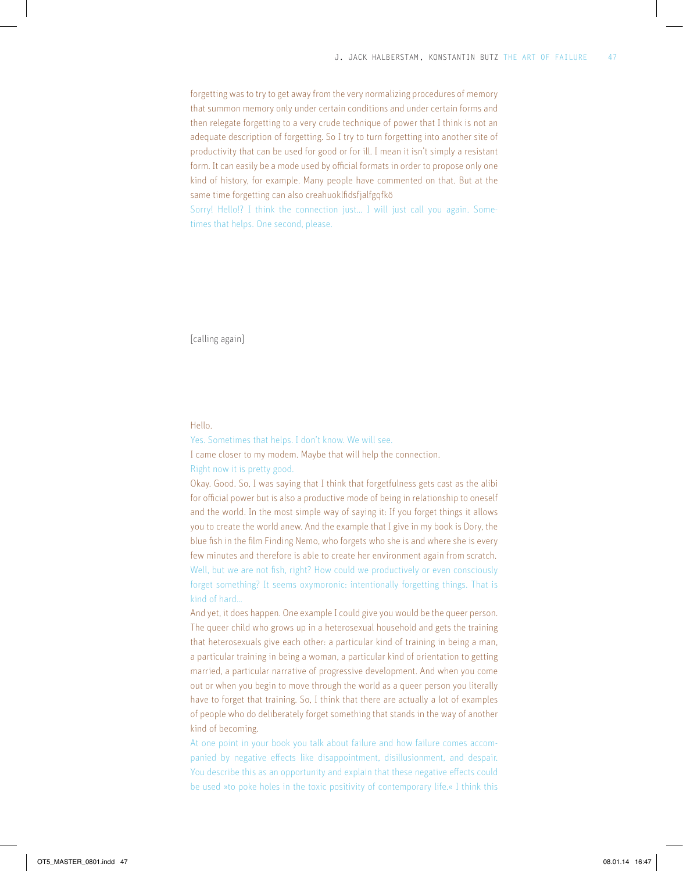forgetting was to try to get away from the very normalizing procedures of memory that summon memory only under certain conditions and under certain forms and then relegate forgetting to a very crude technique of power that I think is not an adequate description of forgetting. So I try to turn forgetting into another site of productivity that can be used for good or for ill. I mean it isn't simply a resistant form. It can easily be a mode used by official formats in order to propose only one kind of history, for example. Many people have commented on that. But at the same time forgetting can also creahuoklfidsfjalfgqfkö

Sorry! Hello!? I think the connection just... I will just call you again. Sometimes that helps. One second, please.

[calling again]

## Hello.

Yes. Sometimes that helps. I don't know. We will see.

I came closer to my modem. Maybe that will help the connection.

Right now it is pretty good.

Okay. Good. So, I was saying that I think that forgetfulness gets cast as the alibi for official power but is also a productive mode of being in relationship to oneself and the world. In the most simple way of saying it: If you forget things it allows you to create the world anew. And the example that I give in my book is Dory, the blue fish in the film Finding Nemo, who forgets who she is and where she is every few minutes and therefore is able to create her environment again from scratch. Well, but we are not fish, right? How could we productively or even consciously forget something? It seems oxymoronic: intentionally forgetting things. That is kind of hard…

And yet, it does happen. One example I could give you would be the queer person. The queer child who grows up in a heterosexual household and gets the training that heterosexuals give each other: a particular kind of training in being a man, a particular training in being a woman, a particular kind of orientation to getting married, a particular narrative of progressive development. And when you come out or when you begin to move through the world as a queer person you literally have to forget that training. So, I think that there are actually a lot of examples of people who do deliberately forget something that stands in the way of another kind of becoming.

At one point in your book you talk about failure and how failure comes accompanied by negative effects like disappointment, disillusionment, and despair. You describe this as an opportunity and explain that these negative effects could be used »to poke holes in the toxic positivity of contemporary life.« I think this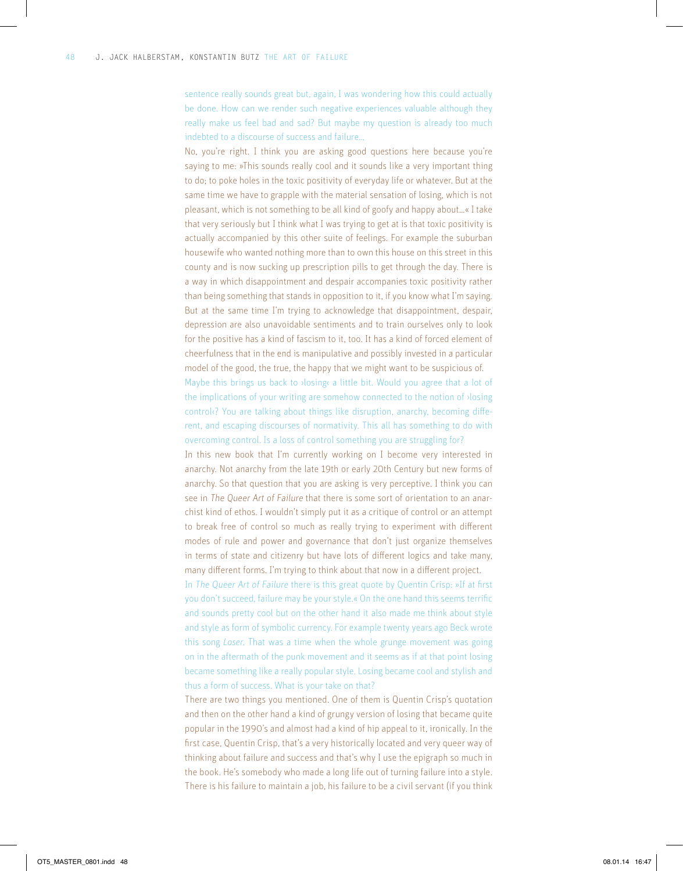sentence really sounds great but, again, I was wondering how this could actually be done. How can we render such negative experiences valuable although they really make us feel bad and sad? But maybe my question is already too much indebted to a discourse of success and failure…

No, you're right. I think you are asking good questions here because you're saying to me: »This sounds really cool and it sounds like a very important thing to do; to poke holes in the toxic positivity of everyday life or whatever. But at the same time we have to grapple with the material sensation of losing, which is not pleasant, which is not something to be all kind of goofy and happy about…« I take that very seriously but I think what I was trying to get at is that toxic positivity is actually accompanied by this other suite of feelings. For example the suburban housewife who wanted nothing more than to own this house on this street in this county and is now sucking up prescription pills to get through the day. There is a way in which disappointment and despair accompanies toxic positivity rather than being something that stands in opposition to it, if you know what I'm saying. But at the same time I'm trying to acknowledge that disappointment, despair, depression are also unavoidable sentiments and to train ourselves only to look for the positive has a kind of fascism to it, too. It has a kind of forced element of cheerfulness that in the end is manipulative and possibly invested in a particular model of the good, the true, the happy that we might want to be suspicious of.

Maybe this brings us back to *>*losing< a little bit. Would you agree that a lot of the implications of your writing are somehow connected to the notion of ›losing control<sup>?</sup> You are talking about things like disruption, anarchy, becoming different, and escaping discourses of normativity. This all has something to do with overcoming control. Is a loss of control something you are struggling for?

In this new book that I'm currently working on I become very interested in anarchy. Not anarchy from the late 19th or early 20th Century but new forms of anarchy. So that question that you are asking is very perceptive. I think you can see in The Queer Art of Failure that there is some sort of orientation to an anarchist kind of ethos. I wouldn't simply put it as a critique of control or an attempt to break free of control so much as really trying to experiment with different modes of rule and power and governance that don't just organize themselves in terms of state and citizenry but have lots of different logics and take many, many different forms. I'm trying to think about that now in a different project.

In The Queer Art of Failure there is this great quote by Quentin Crisp: »If at first you don't succeed, failure may be your style.« On the one hand this seems terrific and sounds pretty cool but on the other hand it also made me think about style and style as form of symbolic currency. For example twenty years ago Beck wrote this song *Loser*. That was a time when the whole grunge movement was going on in the aftermath of the punk movement and it seems as if at that point losing became something like a really popular style. Losing became cool and stylish and thus a form of success. What is your take on that?

There are two things you mentioned. One of them is Quentin Crisp's quotation and then on the other hand a kind of grungy version of losing that became quite popular in the 1990's and almost had a kind of hip appeal to it, ironically. In the first case, Quentin Crisp, that's a very historically located and very queer way of thinking about failure and success and that's why I use the epigraph so much in the book. He's somebody who made a long life out of turning failure into a style. There is his failure to maintain a job, his failure to be a civil servant (if you think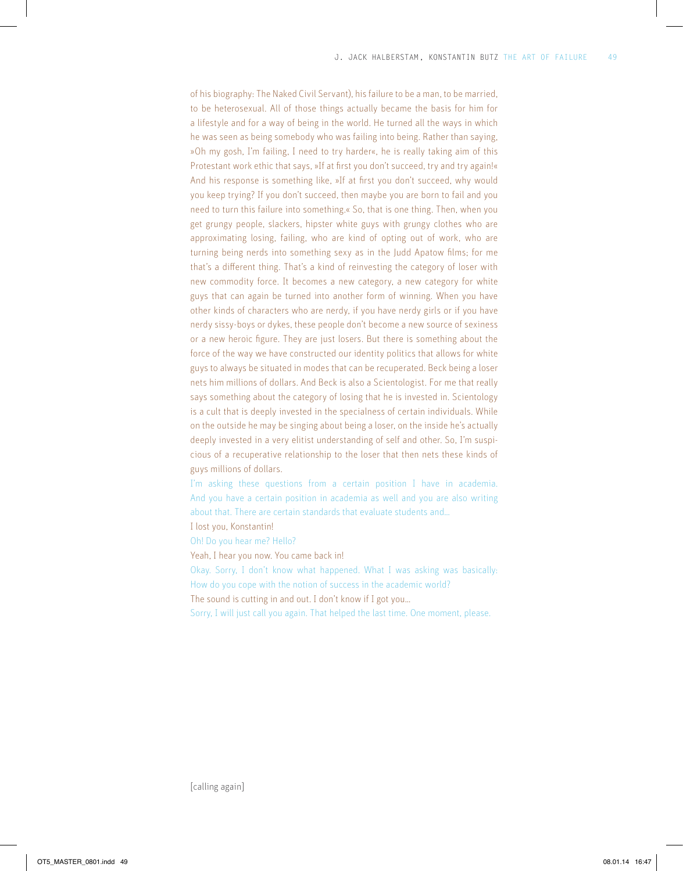of his biography: The Naked Civil Servant), his failure to be a man, to be married, to be heterosexual. All of those things actually became the basis for him for a lifestyle and for a way of being in the world. He turned all the ways in which he was seen as being somebody who was failing into being. Rather than saying, »Oh my gosh, I'm failing, I need to try harder«, he is really taking aim of this Protestant work ethic that says, »If at first you don't succeed, try and try again!« And his response is something like, »If at first you don't succeed, why would you keep trying? If you don't succeed, then maybe you are born to fail and you need to turn this failure into something.« So, that is one thing. Then, when you get grungy people, slackers, hipster white guys with grungy clothes who are approximating losing, failing, who are kind of opting out of work, who are turning being nerds into something sexy as in the Judd Apatow films; for me that's a different thing. That's a kind of reinvesting the category of loser with new commodity force. It becomes a new category, a new category for white guys that can again be turned into another form of winning. When you have other kinds of characters who are nerdy, if you have nerdy girls or if you have nerdy sissy-boys or dykes, these people don't become a new source of sexiness or a new heroic figure. They are just losers. But there is something about the force of the way we have constructed our identity politics that allows for white guys to always be situated in modes that can be recuperated. Beck being a loser nets him millions of dollars. And Beck is also a Scientologist. For me that really says something about the category of losing that he is invested in. Scientology is a cult that is deeply invested in the specialness of certain individuals. While on the outside he may be singing about being a loser, on the inside he's actually deeply invested in a very elitist understanding of self and other. So, I'm suspicious of a recuperative relationship to the loser that then nets these kinds of guys millions of dollars.

I'm asking these questions from a certain position I have in academia. And you have a certain position in academia as well and you are also writing about that. There are certain standards that evaluate students and…

I lost you, Konstantin!

Oh! Do you hear me? Hello?

Yeah, I hear you now. You came back in!

Okay. Sorry, I don't know what happened. What I was asking was basically: How do you cope with the notion of success in the academic world?

The sound is cutting in and out. I don't know if I got you…

Sorry, I will just call you again. That helped the last time. One moment, please.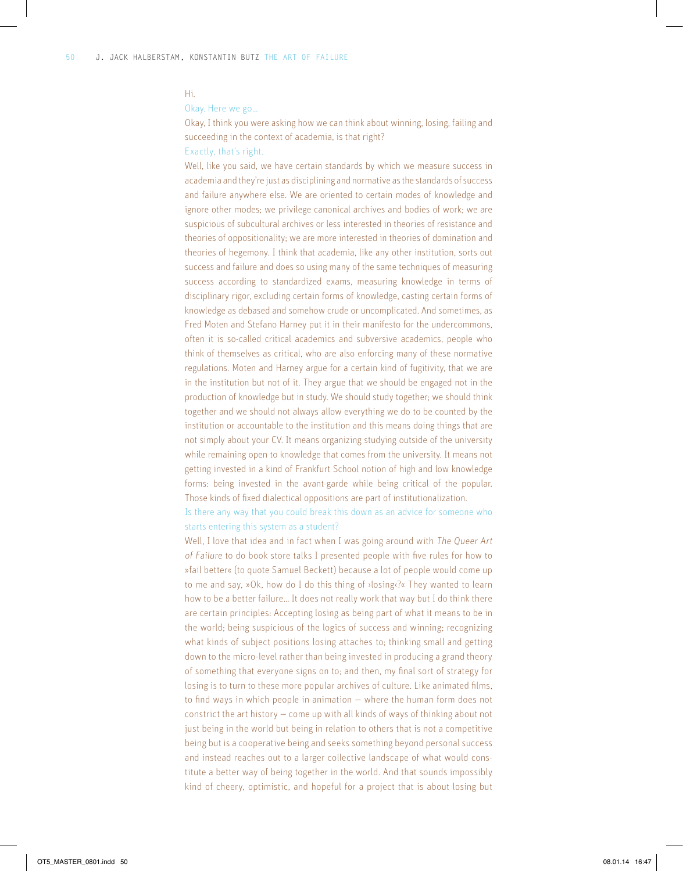#### Hi.

## Okay. Here we go…

Okay, I think you were asking how we can think about winning, losing, failing and succeeding in the context of academia, is that right?

# Exactly, that's right.

Well, like you said, we have certain standards by which we measure success in academia and they're just as disciplining and normative as the standards of success and failure anywhere else. We are oriented to certain modes of knowledge and ignore other modes; we privilege canonical archives and bodies of work; we are suspicious of subcultural archives or less interested in theories of resistance and theories of oppositionality; we are more interested in theories of domination and theories of hegemony. I think that academia, like any other institution, sorts out success and failure and does so using many of the same techniques of measuring success according to standardized exams, measuring knowledge in terms of disciplinary rigor, excluding certain forms of knowledge, casting certain forms of knowledge as debased and somehow crude or uncomplicated. And sometimes, as Fred Moten and Stefano Harney put it in their manifesto for the undercommons, often it is so-called critical academics and subversive academics, people who think of themselves as critical, who are also enforcing many of these normative regulations. Moten and Harney argue for a certain kind of fugitivity, that we are in the institution but not of it. They argue that we should be engaged not in the production of knowledge but in study. We should study together; we should think together and we should not always allow everything we do to be counted by the institution or accountable to the institution and this means doing things that are not simply about your CV. It means organizing studying outside of the university while remaining open to knowledge that comes from the university. It means not getting invested in a kind of Frankfurt School notion of high and low knowledge forms: being invested in the avant-garde while being critical of the popular. Those kinds of fixed dialectical oppositions are part of institutionalization.

Is there any way that you could break this down as an advice for someone who starts entering this system as a student?

Well, I love that idea and in fact when I was going around with The Queer Art of Failure to do book store talks I presented people with five rules for how to »fail better« (to quote Samuel Beckett) because a lot of people would come up to me and say, »Ok, how do I do this thing of ›losing‹?« They wanted to learn how to be a better failure… It does not really work that way but I do think there are certain principles: Accepting losing as being part of what it means to be in the world; being suspicious of the logics of success and winning; recognizing what kinds of subject positions losing attaches to; thinking small and getting down to the micro-level rather than being invested in producing a grand theory of something that everyone signs on to; and then, my final sort of strategy for losing is to turn to these more popular archives of culture. Like animated films, to find ways in which people in animation — where the human form does not constrict the art history — come up with all kinds of ways of thinking about not just being in the world but being in relation to others that is not a competitive being but is a cooperative being and seeks something beyond personal success and instead reaches out to a larger collective landscape of what would constitute a better way of being together in the world. And that sounds impossibly kind of cheery, optimistic, and hopeful for a project that is about losing but